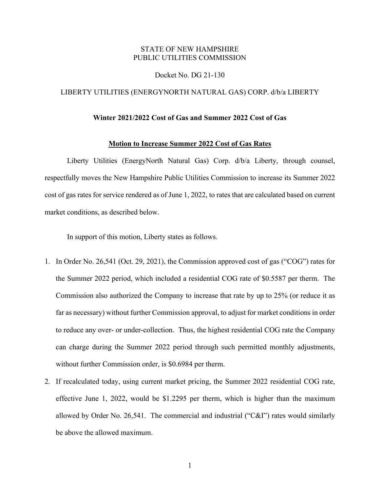## STATE OF NEW HAMPSHIRE PUBLIC UTILITIES COMMISSION

### Docket No. DG 21-130

### LIBERTY UTILITIES (ENERGYNORTH NATURAL GAS) CORP. d/b/a LIBERTY

### **Winter 2021/2022 Cost of Gas and Summer 2022 Cost of Gas**

## **Motion to Increase Summer 2022 Cost of Gas Rates**

Liberty Utilities (EnergyNorth Natural Gas) Corp. d/b/a Liberty, through counsel, respectfully moves the New Hampshire Public Utilities Commission to increase its Summer 2022 cost of gas rates for service rendered as of June 1, 2022, to rates that are calculated based on current market conditions, as described below.

In support of this motion, Liberty states as follows.

- 1. In Order No. 26,541 (Oct. 29, 2021), the Commission approved cost of gas ("COG") rates for the Summer 2022 period, which included a residential COG rate of \$0.5587 per therm. The Commission also authorized the Company to increase that rate by up to 25% (or reduce it as far as necessary) without further Commission approval, to adjust for market conditions in order to reduce any over- or under-collection. Thus, the highest residential COG rate the Company can charge during the Summer 2022 period through such permitted monthly adjustments, without further Commission order, is \$0.6984 per therm.
- 2. If recalculated today, using current market pricing, the Summer 2022 residential COG rate, effective June 1, 2022, would be \$1.2295 per therm, which is higher than the maximum allowed by Order No. 26,541. The commercial and industrial ("C&I") rates would similarly be above the allowed maximum.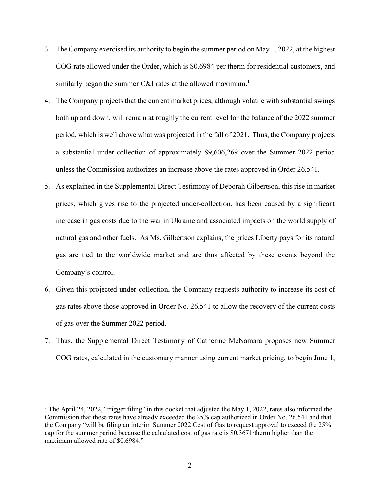- 3. The Company exercised its authority to begin the summer period on May 1, 2022, at the highest COG rate allowed under the Order, which is \$0.6984 per therm for residential customers, and similarly began the summer C&I rates at the allowed maximum.<sup>1</sup>
- 4. The Company projects that the current market prices, although volatile with substantial swings both up and down, will remain at roughly the current level for the balance of the 2022 summer period, which is well above what was projected in the fall of 2021. Thus, the Company projects a substantial under-collection of approximately \$9,606,269 over the Summer 2022 period unless the Commission authorizes an increase above the rates approved in Order 26,541.
- 5. As explained in the Supplemental Direct Testimony of Deborah Gilbertson, this rise in market prices, which gives rise to the projected under-collection, has been caused by a significant increase in gas costs due to the war in Ukraine and associated impacts on the world supply of natural gas and other fuels. As Ms. Gilbertson explains, the prices Liberty pays for its natural gas are tied to the worldwide market and are thus affected by these events beyond the Company's control.
- 6. Given this projected under-collection, the Company requests authority to increase its cost of gas rates above those approved in Order No. 26,541 to allow the recovery of the current costs of gas over the Summer 2022 period.
- 7. Thus, the Supplemental Direct Testimony of Catherine McNamara proposes new Summer COG rates, calculated in the customary manner using current market pricing, to begin June 1,

<sup>&</sup>lt;sup>1</sup> The April 24, 2022, "trigger filing" in this docket that adjusted the May 1, 2022, rates also informed the Commission that these rates have already exceeded the 25% cap authorized in Order No. 26,541 and that the Company "will be filing an interim Summer 2022 Cost of Gas to request approval to exceed the 25% cap for the summer period because the calculated cost of gas rate is \$0.3671/therm higher than the maximum allowed rate of \$0.6984."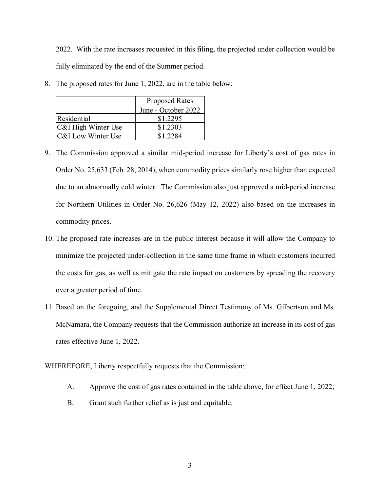2022. With the rate increases requested in this filing, the projected under collection would be fully eliminated by the end of the Summer period.

|                               | <b>Proposed Rates</b> |
|-------------------------------|-----------------------|
|                               | June - October 2022   |
| Residential                   | \$1.2295              |
| C&I High Winter Use           | \$1.2303              |
| <b>C&amp;I</b> Low Winter Use | \$1 2284              |

8. The proposed rates for June 1, 2022, are in the table below:

- 9. The Commission approved a similar mid-period increase for Liberty's cost of gas rates in Order No. 25,633 (Feb. 28, 2014), when commodity prices similarly rose higher than expected due to an abnormally cold winter. The Commission also just approved a mid-period increase for Northern Utilities in Order No. 26,626 (May 12, 2022) also based on the increases in commodity prices.
- 10. The proposed rate increases are in the public interest because it will allow the Company to minimize the projected under-collection in the same time frame in which customers incurred the costs for gas, as well as mitigate the rate impact on customers by spreading the recovery over a greater period of time.
- 11. Based on the foregoing, and the Supplemental Direct Testimony of Ms. Gilbertson and Ms. McNamara, the Company requests that the Commission authorize an increase in its cost of gas rates effective June 1, 2022.

# WHEREFORE, Liberty respectfully requests that the Commission:

- A. Approve the cost of gas rates contained in the table above, for effect June 1, 2022;
- B. Grant such further relief as is just and equitable.